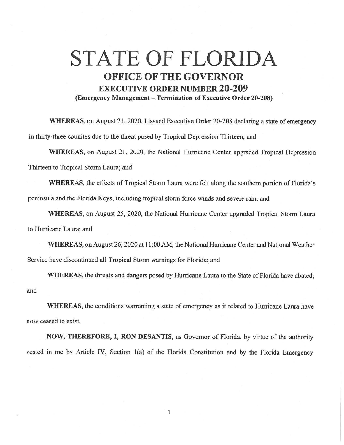## **STATE OF FLORIDA OFFICE OF THE GOVERNOR EXECUTIVE ORDER NUMBER 20-209 (Emergency Management - Termination of Executive Order 20-208)**

**WHEREAS,** on August 21, 2020, I issued Executive Order 20-208 declaring a state of emergency in thirty-three counites due to the threat posed by Tropical Depression Thirteen; and

**WHEREAS,** on August 21, 2020, the National Hurricane Center upgraded Tropical Depression Thirteen to Tropical Storm Laura; and

**WHEREAS,** the effects of Tropical Storm Laura were felt along the southern portion of Florida's peninsula and the Florida Keys, including tropical storm force winds and severe rain; and

**WHEREAS,** on August 25, 2020, the National Hurricane Center upgraded Tropical Storm Laura to Hurricane Laura; and

**WHEREAS,** on August 26, 2020 at **11** :00 AM, the National Hurricane Center and National Weather Service have discontinued all Tropical Storm warnings for Florida; and

**WHEREAS,** the threats and dangers posed by Hurricane Laura to the State of Florida have abated; and

**WHEREAS,** the conditions warranting a state of emergency as it related to Hurricane Laura have now ceased to exist.

**NOW, THEREFORE, I, RON DESANTIS,** as Governor of Florida, by virtue of the authority vested in me by Article IV, Section l(a) of the Florida Constitution and by the Florida Emergency

 $\,$   $\,$